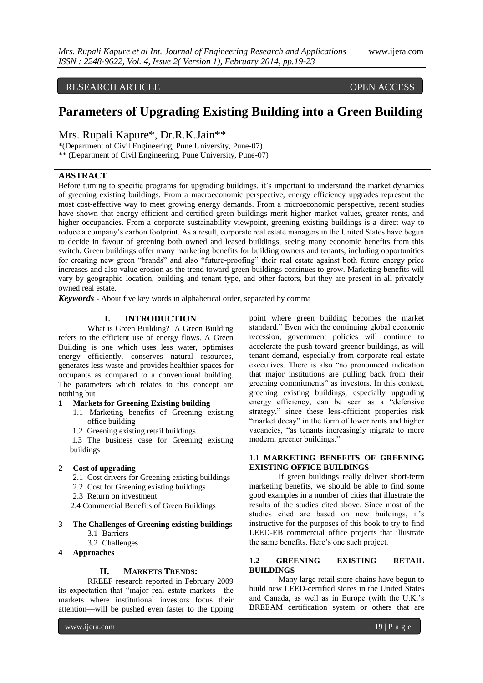# RESEARCH ARTICLE OPEN ACCESS

# **Parameters of Upgrading Existing Building into a Green Building**

Mrs. Rupali Kapure\*, Dr.R.K.Jain\*\*

\*(Department of Civil Engineering, Pune University, Pune-07)

\*\* (Department of Civil Engineering, Pune University, Pune-07)

# **ABSTRACT**

Before turning to specific programs for upgrading buildings, it's important to understand the market dynamics of greening existing buildings. From a macroeconomic perspective, energy efficiency upgrades represent the most cost-effective way to meet growing energy demands. From a microeconomic perspective, recent studies have shown that energy-efficient and certified green buildings merit higher market values, greater rents, and higher occupancies. From a corporate sustainability viewpoint, greening existing buildings is a direct way to reduce a company's carbon footprint. As a result, corporate real estate managers in the United States have begun to decide in favour of greening both owned and leased buildings, seeing many economic benefits from this switch. Green buildings offer many marketing benefits for building owners and tenants, including opportunities for creating new green "brands" and also "future-proofing" their real estate against both future energy price increases and also value erosion as the trend toward green buildings continues to grow. Marketing benefits will vary by geographic location, building and tenant type, and other factors, but they are present in all privately owned real estate.

*Keywords* **-** About five key words in alphabetical order, separated by comma

#### **I. INTRODUCTION**

What is Green Building? A Green Building refers to the efficient use of energy flows. A Green Building is one which uses less water, optimises energy efficiently, conserves natural resources, generates less waste and provides healthier spaces for occupants as compared to a conventional building. The parameters which relates to this concept are nothing but

#### **1 Markets for Greening Existing building**

- 1.1 Marketing benefits of Greening existing office building
- 1.2 Greening existing retail buildings

1.3 The business case for Greening existing buildings

#### **2 Cost of upgrading**

- 2.1 Cost drivers for Greening existing buildings
- 2.2 Cost for Greening existing buildings
- 2.3 Return on investment

2.4 Commercial Benefits of Green Buildings

- **3 The Challenges of Greening existing buildings** 3.1 Barriers
	- 3.2 Challenges

# **4 Approaches**

#### **II. MARKETS TRENDS:**

RREEF research reported in February 2009 its expectation that "major real estate markets—the markets where institutional investors focus their attention—will be pushed even faster to the tipping

www.ijera.com **19** | P a g e

point where green building becomes the market standard." Even with the continuing global economic recession, government policies will continue to accelerate the push toward greener buildings, as will tenant demand, especially from corporate real estate executives. There is also "no pronounced indication that major institutions are pulling back from their greening commitments" as investors. In this context, greening existing buildings, especially upgrading energy efficiency, can be seen as a "defensive strategy," since these less-efficient properties risk "market decay" in the form of lower rents and higher vacancies, "as tenants increasingly migrate to more modern, greener buildings."

# 1.1 **MARKETING BENEFITS OF GREENING EXISTING OFFICE BUILDINGS**

If green buildings really deliver short-term marketing benefits, we should be able to find some good examples in a number of cities that illustrate the results of the studies cited above. Since most of the studies cited are based on new buildings, it's instructive for the purposes of this book to try to find LEED-EB commercial office projects that illustrate the same benefits. Here's one such project.

### **1.2 GREENING EXISTING RETAIL BUILDINGS**

Many large retail store chains have begun to build new LEED-certified stores in the United States and Canada, as well as in Europe (with the U.K.'s BREEAM certification system or others that are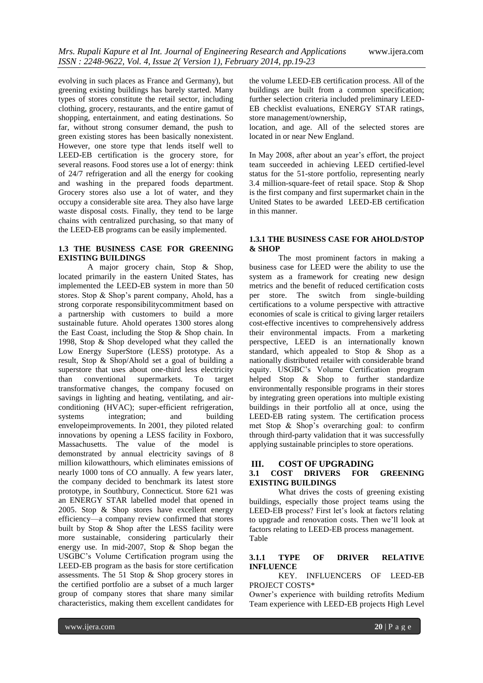evolving in such places as France and Germany), but greening existing buildings has barely started. Many types of stores constitute the retail sector, including clothing, grocery, restaurants, and the entire gamut of shopping, entertainment, and eating destinations. So far, without strong consumer demand, the push to green existing stores has been basically nonexistent. However, one store type that lends itself well to LEED-EB certification is the grocery store, for several reasons. Food stores use a lot of energy: think of 24/7 refrigeration and all the energy for cooking and washing in the prepared foods department. Grocery stores also use a lot of water, and they occupy a considerable site area. They also have large waste disposal costs. Finally, they tend to be large chains with centralized purchasing, so that many of the LEED-EB programs can be easily implemented.

# **1.3 THE BUSINESS CASE FOR GREENING EXISTING BUILDINGS**

A major grocery chain, Stop & Shop, located primarily in the eastern United States, has implemented the LEED-EB system in more than 50 stores. Stop & Shop's parent company, Ahold, has a strong corporate responsibilitycommitment based on a partnership with customers to build a more sustainable future. Ahold operates 1300 stores along the East Coast, including the Stop & Shop chain. In 1998, Stop & Shop developed what they called the Low Energy SuperStore (LESS) prototype. As a result, Stop & Shop/Ahold set a goal of building a superstore that uses about one-third less electricity than conventional supermarkets. To target transformative changes, the company focused on savings in lighting and heating, ventilating, and airconditioning (HVAC); super-efficient refrigeration, systems integration; and building envelopeimprovements. In 2001, they piloted related innovations by opening a LESS facility in Foxboro, Massachusetts. The value of the model is demonstrated by annual electricity savings of 8 million kilowatthours, which eliminates emissions of nearly 1000 tons of CO annually. A few years later, the company decided to benchmark its latest store prototype, in Southbury, Connecticut. Store 621 was an ENERGY STAR labelled model that opened in 2005. Stop & Shop stores have excellent energy efficiency—a company review confirmed that stores built by Stop & Shop after the LESS facility were more sustainable, considering particularly their energy use. In mid-2007, Stop & Shop began the USGBC's Volume Certification program using the LEED-EB program as the basis for store certification assessments. The 51 Stop & Shop grocery stores in the certified portfolio are a subset of a much larger group of company stores that share many similar characteristics, making them excellent candidates for

the volume LEED-EB certification process. All of the buildings are built from a common specification; further selection criteria included preliminary LEED-EB checklist evaluations, ENERGY STAR ratings, store management/ownership,

location, and age. All of the selected stores are located in or near New England.

In May 2008, after about an year's effort, the project team succeeded in achieving LEED certified-level status for the 51-store portfolio, representing nearly 3.4 million-square-feet of retail space. Stop & Shop is the first company and first supermarket chain in the United States to be awarded LEED-EB certification in this manner.

#### **1.3.1 THE BUSINESS CASE FOR AHOLD/STOP & SHOP**

The most prominent factors in making a business case for LEED were the ability to use the system as a framework for creating new design metrics and the benefit of reduced certification costs per store. The switch from single-building certifications to a volume perspective with attractive economies of scale is critical to giving larger retailers cost-effective incentives to comprehensively address their environmental impacts. From a marketing perspective, LEED is an internationally known standard, which appealed to Stop  $\&$  Shop as a nationally distributed retailer with considerable brand equity. USGBC's Volume Certification program helped Stop & Shop to further standardize environmentally responsible programs in their stores by integrating green operations into multiple existing buildings in their portfolio all at once, using the LEED-EB rating system. The certification process met Stop & Shop's overarching goal: to confirm through third-party validation that it was successfully applying sustainable principles to store operations.

# **III. COST OF UPGRADING**

# **3.1 COST DRIVERS FOR GREENING EXISTING BUILDINGS**

What drives the costs of greening existing buildings, especially those project teams using the LEED-EB process? First let's look at factors relating to upgrade and renovation costs. Then we'll look at factors relating to LEED-EB process management. Table

#### **3.1.1 TYPE OF DRIVER RELATIVE INFLUENCE**

KEY. INFLUENCERS OF LEED-EB PROJECT COSTS\*

Owner's experience with building retrofits Medium Team experience with LEED-EB projects High Level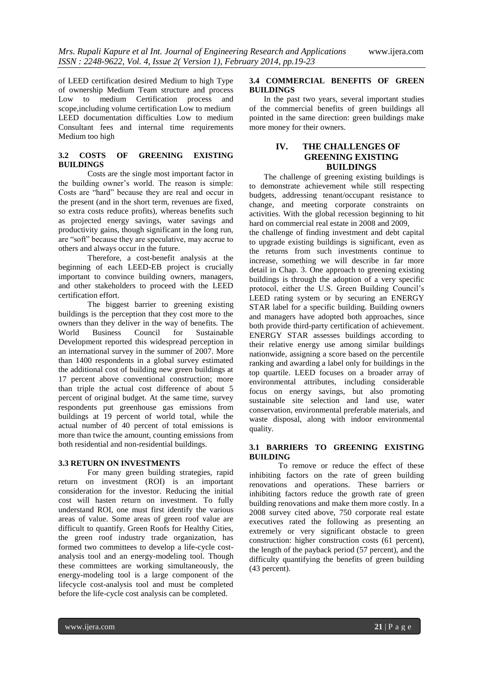of LEED certification desired Medium to high Type of ownership Medium Team structure and process Low to medium Certification process and scope,including volume certification Low to medium LEED documentation difficulties Low to medium Consultant fees and internal time requirements Medium too high

#### **3.2 COSTS OF GREENING EXISTING BUILDINGS**

Costs are the single most important factor in the building owner's world. The reason is simple: Costs are "hard" because they are real and occur in the present (and in the short term, revenues are fixed, so extra costs reduce profits), whereas benefits such as projected energy savings, water savings and productivity gains, though significant in the long run, are "soft" because they are speculative, may accrue to others and always occur in the future.

Therefore, a cost-benefit analysis at the beginning of each LEED-EB project is crucially important to convince building owners, managers, and other stakeholders to proceed with the LEED certification effort.

The biggest barrier to greening existing buildings is the perception that they cost more to the owners than they deliver in the way of benefits. The World Business Council for Sustainable Development reported this widespread perception in an international survey in the summer of 2007. More than 1400 respondents in a global survey estimated the additional cost of building new green buildings at 17 percent above conventional construction; more than triple the actual cost difference of about 5 percent of original budget. At the same time, survey respondents put greenhouse gas emissions from buildings at 19 percent of world total, while the actual number of 40 percent of total emissions is more than twice the amount, counting emissions from both residential and non-residential buildings.

#### **3.3 RETURN ON INVESTMENTS**

For many green building strategies, rapid return on investment (ROI) is an important consideration for the investor. Reducing the initial cost will hasten return on investment. To fully understand ROI, one must first identify the various areas of value. Some areas of green roof value are difficult to quantify. Green Roofs for Healthy Cities, the green roof industry trade organization, has formed two committees to develop a life-cycle costanalysis tool and an energy-modeling tool. Though these committees are working simultaneously, the energy-modeling tool is a large component of the lifecycle cost-analysis tool and must be completed before the life-cycle cost analysis can be completed.

#### **3.4 COMMERCIAL BENEFITS OF GREEN BUILDINGS**

In the past two years, several important studies of the commercial benefits of green buildings all pointed in the same direction: green buildings make more money for their owners.

# **IV. THE CHALLENGES OF GREENING EXISTING BUILDINGS**

The challenge of greening existing buildings is to demonstrate achievement while still respecting budgets, addressing tenant/occupant resistance to change, and meeting corporate constraints on activities. With the global recession beginning to hit hard on commercial real estate in 2008 and 2009,

the challenge of finding investment and debt capital to upgrade existing buildings is significant, even as the returns from such investments continue to increase, something we will describe in far more detail in Chap. 3. One approach to greening existing buildings is through the adoption of a very specific protocol, either the U.S. Green Building Council's LEED rating system or by securing an ENERGY STAR label for a specific building. Building owners and managers have adopted both approaches, since both provide third-party certification of achievement. ENERGY STAR assesses buildings according to their relative energy use among similar buildings nationwide, assigning a score based on the percentile ranking and awarding a label only for buildings in the top quartile. LEED focuses on a broader array of environmental attributes, including considerable focus on energy savings, but also promoting sustainable site selection and land use, water conservation, environmental preferable materials, and waste disposal, along with indoor environmental quality.

#### **3.1 BARRIERS TO GREENING EXISTING BUILDING**

To remove or reduce the effect of these inhibiting factors on the rate of green building renovations and operations. These barriers or inhibiting factors reduce the growth rate of green building renovations and make them more costly. In a 2008 survey cited above, 750 corporate real estate executives rated the following as presenting an extremely or very significant obstacle to green construction: higher construction costs (61 percent), the length of the payback period (57 percent), and the difficulty quantifying the benefits of green building (43 percent).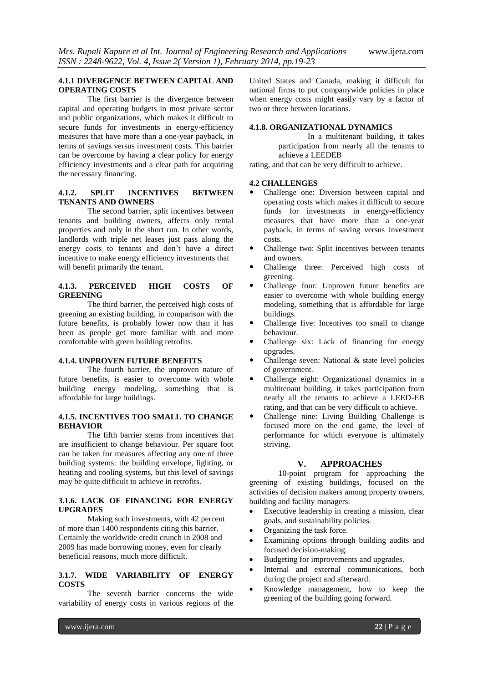# **4.1.1 DIVERGENCE BETWEEN CAPITAL AND OPERATING COSTS**

The first barrier is the divergence between capital and operating budgets in most private sector and public organizations, which makes it difficult to secure funds for investments in energy-efficiency measures that have more than a one-year payback, in terms of savings versus investment costs. This barrier can be overcome by having a clear policy for energy efficiency investments and a clear path for acquiring the necessary financing.

# **4.1.2. SPLIT INCENTIVES BETWEEN TENANTS AND OWNERS**

The second barrier, split incentives between tenants and building owners, affects only rental properties and only in the short run. In other words, landlords with triple net leases just pass along the energy costs to tenants and don't have a direct incentive to make energy efficiency investments that will benefit primarily the tenant.

#### **4.1.3. PERCEIVED HIGH COSTS OF GREENING**

The third barrier, the perceived high costs of greening an existing building, in comparison with the future benefits, is probably lower now than it has been as people get more familiar with and more comfortable with green building retrofits.

# **4.1.4. UNPROVEN FUTURE BENEFITS**

The fourth barrier, the unproven nature of future benefits, is easier to overcome with whole building energy modeling, something that is affordable for large buildings.

#### **4.1.5. INCENTIVES TOO SMALL TO CHANGE BEHAVIOR**

The fifth barrier stems from incentives that are insufficient to change behaviour. Per square foot can be taken for measures affecting any one of three building systems: the building envelope, lighting, or heating and cooling systems, but this level of savings may be quite difficult to achieve in retrofits.

# **3.1.6. LACK OF FINANCING FOR ENERGY UPGRADES**

Making such investments, with 42 percent of more than 1400 respondents citing this barrier. Certainly the worldwide credit crunch in 2008 and 2009 has made borrowing money, even for clearly beneficial reasons, much more difficult.

# **3.1.7. WIDE VARIABILITY OF ENERGY COSTS**

The seventh barrier concerns the wide variability of energy costs in various regions of the

United States and Canada, making it difficult for national firms to put companywide policies in place when energy costs might easily vary by a factor of two or three between locations.

#### **4.1.8. ORGANIZATIONAL DYNAMICS**

In a multitenant building, it takes participation from nearly all the tenants to achieve a LEEDEB

rating, and that can be very difficult to achieve.

#### **4.2 CHALLENGES**

- Challenge one: Diversion between capital and operating costs which makes it difficult to secure funds for investments in energy-efficiency measures that have more than a one-year payback, in terms of saving versus investment costs.
- Challenge two: Split incentives between tenants and owners.
- Challenge three: Perceived high costs of greening.
- Challenge four: Unproven future benefits are easier to overcome with whole building energy modeling, something that is affordable for large buildings.
- Challenge five: Incentives too small to change behaviour.
- Challenge six: Lack of financing for energy upgrades.
- Challenge seven: National & state level policies of government.
- Challenge eight: Organizational dynamics in a multitenant building, it takes participation from nearly all the tenants to achieve a LEED-EB rating, and that can be very difficult to achieve.
- Challenge nine: Living Building Challenge is focused more on the end game, the level of performance for which everyone is ultimately striving.

# **V. APPROACHES**

10-point program for approaching the greening of existing buildings, focused on the activities of decision makers among property owners, building and facility managers.

- Executive leadership in creating a mission, clear goals, and sustainability policies.
- Organizing the task force.
- Examining options through building audits and focused decision-making.
- Budgeting for improvements and upgrades.
- Internal and external communications, both during the project and afterward.
- Knowledge management, how to keep the greening of the building going forward.